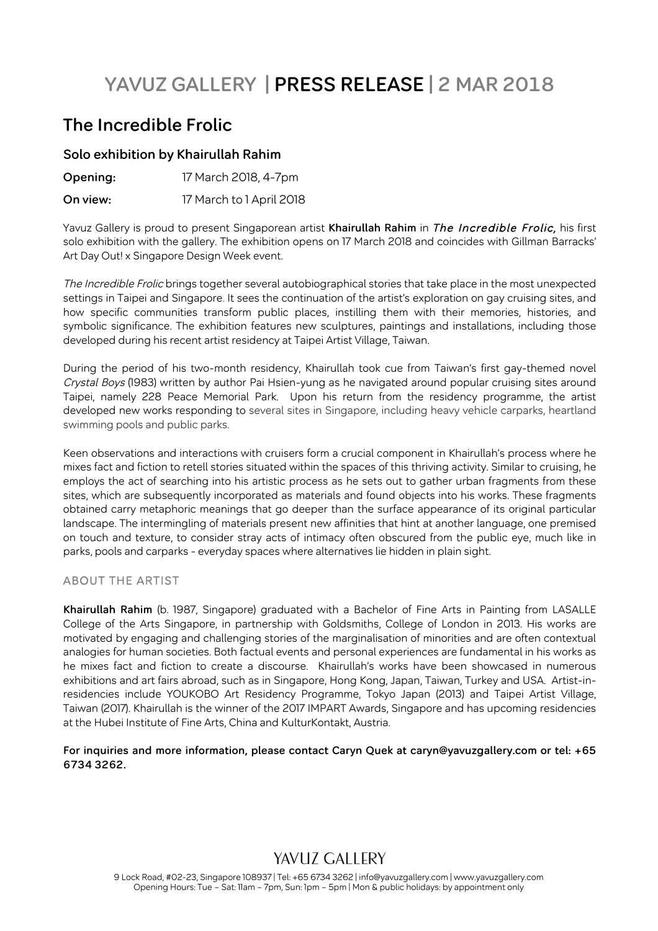# **YAVUZ GALLERY | PRESS RELEASE | 2 MAR 2018**

### **The Incredible Frolic**

#### **Solo exhibition by Khairullah Rahim**

| Opening: | 17 March 2018, 4-7pm     |
|----------|--------------------------|
| On view: | 17 March to 1 April 2018 |

Yavuz Gallery is proud to present Singaporean artist **Khairullah Rahim** in The Incredible Frolic, his first solo exhibition with the gallery. The exhibition opens on 17 March 2018 and coincides with Gillman Barracks' Art Day Out! x Singapore Design Week event.

The Incredible Frolic brings together several autobiographical stories that take place in the most unexpected settings in Taipei and Singapore. It sees the continuation of the artist's exploration on gay cruising sites, and how specific communities transform public places, instilling them with their memories, histories, and symbolic significance. The exhibition features new sculptures, paintings and installations, including those developed during his recent artist residency at Taipei Artist Village, Taiwan.

During the period of his two-month residency, Khairullah took cue from Taiwan's first gay-themed novel Crystal Boys (1983) written by author Pai Hsien-yung as he navigated around popular cruising sites around Taipei, namely 228 Peace Memorial Park. Upon his return from the residency programme, the artist developed new works responding to several sites in Singapore, including heavy vehicle carparks, heartland swimming pools and public parks.

Keen observations and interactions with cruisers form a crucial component in Khairullah's process where he mixes fact and fiction to retell stories situated within the spaces of this thriving activity. Similar to cruising, he employs the act of searching into his artistic process as he sets out to gather urban fragments from these sites, which are subsequently incorporated as materials and found objects into his works. These fragments obtained carry metaphoric meanings that go deeper than the surface appearance of its original particular landscape. The intermingling of materials present new affinities that hint at another language, one premised on touch and texture, to consider stray acts of intimacy often obscured from the public eye, much like in parks, pools and carparks - everyday spaces where alternatives lie hidden in plain sight.

#### ABOUT THE ARTIST

**Khairullah Rahim** (b. 1987, Singapore) graduated with a Bachelor of Fine Arts in Painting from LASALLE College of the Arts Singapore, in partnership with Goldsmiths, College of London in 2013. His works are motivated by engaging and challenging stories of the marginalisation of minorities and are often contextual analogies for human societies. Both factual events and personal experiences are fundamental in his works as he mixes fact and fiction to create a discourse. Khairullah's works have been showcased in numerous exhibitions and art fairs abroad, such as in Singapore, Hong Kong, Japan, Taiwan, Turkey and USA. Artist-inresidencies include YOUKOBO Art Residency Programme, Tokyo Japan (2013) and Taipei Artist Village, Taiwan (2017). Khairullah is the winner of the 2017 IMPART Awards, Singapore and has upcoming residencies at the Hubei Institute of Fine Arts, China and KulturKontakt, Austria.

#### **For inquiries and more information, please contact Caryn Quek at caryn@yavuzgallery.com or tel: +65 6734 3262.**

# YAVUZ GALLERY

9 Lock Road, #02-23, Singapore 108937 | Tel: +65 6734 3262 | info@yavuzgallery.com | www.yavuzgallery.com Opening Hours: Tue – Sat: 11am – 7pm, Sun: 1pm – 5pm | Mon & public holidays: by appointment only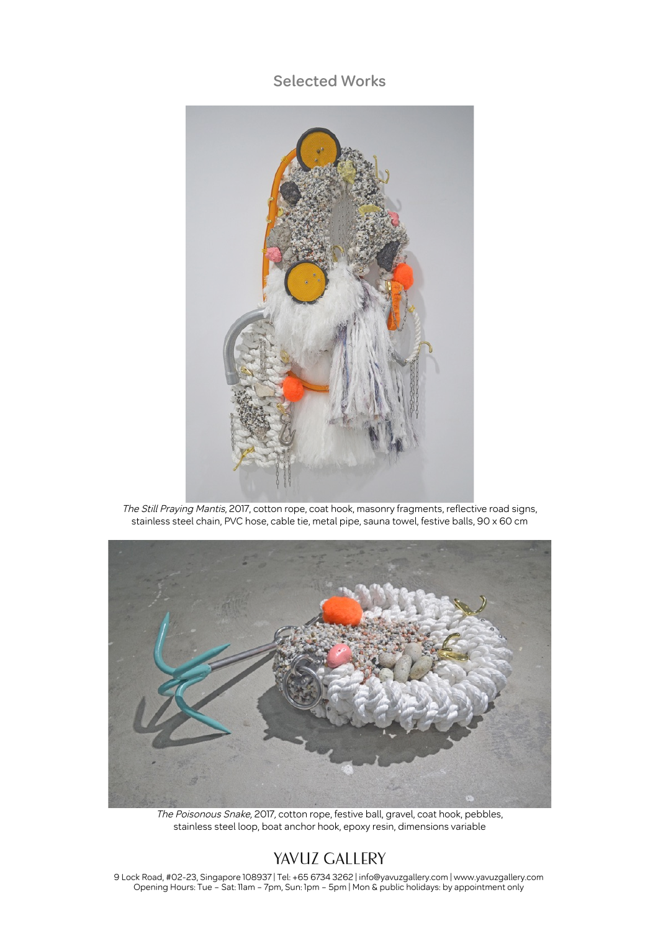### **Selected Works**



The Still Praying Mantis, 2017, cotton rope, coat hook, masonry fragments, reflective road signs, stainless steel chain, PVC hose, cable tie, metal pipe, sauna towel, festive balls, 90 x 60 cm



The Poisonous Snake, 2017, cotton rope, festive ball, gravel, coat hook, pebbles, stainless steel loop, boat anchor hook, epoxy resin, dimensions variable

# YAVUZ GALLERY

9 Lock Road, #02-23, Singapore 108937 | Tel: +65 6734 3262 | info@yavuzgallery.com | www.yavuzgallery.com Opening Hours: Tue – Sat: 11am – 7pm, Sun: 1pm – 5pm | Mon & public holidays: by appointment only